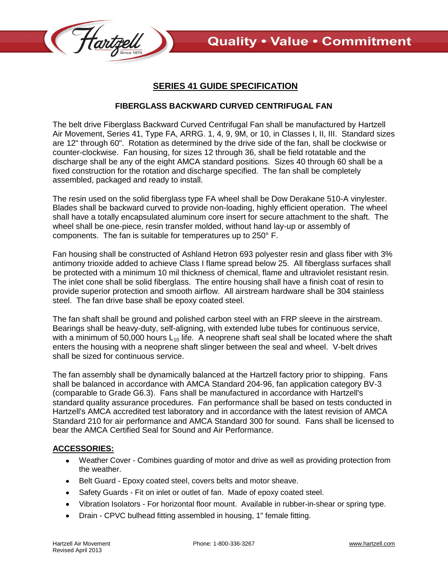

## **SERIES 41 GUIDE SPECIFICATION**

## **FIBERGLASS BACKWARD CURVED CENTRIFUGAL FAN**

The belt drive Fiberglass Backward Curved Centrifugal Fan shall be manufactured by Hartzell Air Movement, Series 41, Type FA, ARRG. 1, 4, 9, 9M, or 10, in Classes I, II, III. Standard sizes are 12" through 60". Rotation as determined by the drive side of the fan, shall be clockwise or counter-clockwise. Fan housing, for sizes 12 through 36, shall be field rotatable and the discharge shall be any of the eight AMCA standard positions. Sizes 40 through 60 shall be a fixed construction for the rotation and discharge specified. The fan shall be completely assembled, packaged and ready to install.

The resin used on the solid fiberglass type FA wheel shall be Dow Derakane 510-A vinylester. Blades shall be backward curved to provide non-loading, highly efficient operation. The wheel shall have a totally encapsulated aluminum core insert for secure attachment to the shaft. The wheel shall be one-piece, resin transfer molded, without hand lay-up or assembly of components. The fan is suitable for temperatures up to 250° F.

Fan housing shall be constructed of Ashland Hetron 693 polyester resin and glass fiber with 3% antimony trioxide added to achieve Class I flame spread below 25. All fiberglass surfaces shall be protected with a minimum 10 mil thickness of chemical, flame and ultraviolet resistant resin. The inlet cone shall be solid fiberglass. The entire housing shall have a finish coat of resin to provide superior protection and smooth airflow. All airstream hardware shall be 304 stainless steel. The fan drive base shall be epoxy coated steel.

The fan shaft shall be ground and polished carbon steel with an FRP sleeve in the airstream. Bearings shall be heavy-duty, self-aligning, with extended lube tubes for continuous service, with a minimum of 50,000 hours  $L_{10}$  life. A neoprene shaft seal shall be located where the shaft enters the housing with a neoprene shaft slinger between the seal and wheel. V-belt drives shall be sized for continuous service.

The fan assembly shall be dynamically balanced at the Hartzell factory prior to shipping. Fans shall be balanced in accordance with AMCA Standard 204-96, fan application category BV-3 (comparable to Grade G6.3). Fans shall be manufactured in accordance with Hartzell's standard quality assurance procedures. Fan performance shall be based on tests conducted in Hartzell's AMCA accredited test laboratory and in accordance with the latest revision of AMCA Standard 210 for air performance and AMCA Standard 300 for sound. Fans shall be licensed to bear the AMCA Certified Seal for Sound and Air Performance.

## **ACCESSORIES:**

- Weather Cover Combines guarding of motor and drive as well as providing protection from the weather.
- Belt Guard Epoxy coated steel, covers belts and motor sheave.  $\bullet$
- Safety Guards Fit on inlet or outlet of fan. Made of epoxy coated steel.  $\bullet$
- Vibration Isolators For horizontal floor mount. Available in rubber-in-shear or spring type.
- Drain CPVC bulhead fitting assembled in housing, 1" female fitting. $\bullet$